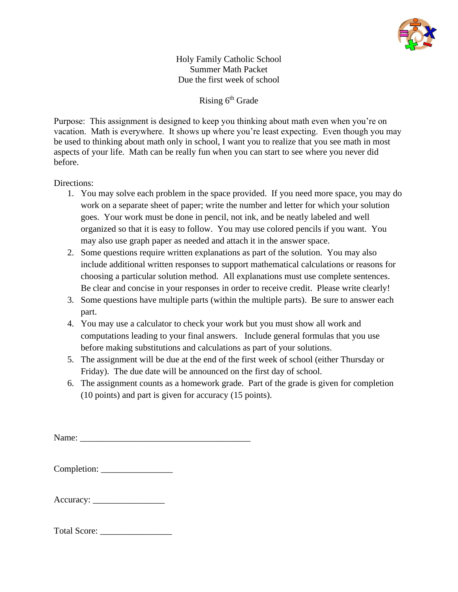

Holy Family Catholic School Summer Math Packet Due the first week of school

Rising 6<sup>th</sup> Grade

Purpose: This assignment is designed to keep you thinking about math even when you're on vacation. Math is everywhere. It shows up where you're least expecting. Even though you may be used to thinking about math only in school, I want you to realize that you see math in most aspects of your life. Math can be really fun when you can start to see where you never did before.

## Directions:

- 1. You may solve each problem in the space provided. If you need more space, you may do work on a separate sheet of paper; write the number and letter for which your solution goes. Your work must be done in pencil, not ink, and be neatly labeled and well organized so that it is easy to follow. You may use colored pencils if you want. You may also use graph paper as needed and attach it in the answer space.
- 2. Some questions require written explanations as part of the solution. You may also include additional written responses to support mathematical calculations or reasons for choosing a particular solution method. All explanations must use complete sentences. Be clear and concise in your responses in order to receive credit. Please write clearly!
- 3. Some questions have multiple parts (within the multiple parts). Be sure to answer each part.
- 4. You may use a calculator to check your work but you must show all work and computations leading to your final answers. Include general formulas that you use before making substitutions and calculations as part of your solutions.
- 5. The assignment will be due at the end of the first week of school (either Thursday or Friday). The due date will be announced on the first day of school.
- 6. The assignment counts as a homework grade. Part of the grade is given for completion (10 points) and part is given for accuracy (15 points).

Name: \_\_\_\_\_\_\_\_\_\_\_\_\_\_\_\_\_\_\_\_\_\_\_\_\_\_\_\_\_\_\_\_\_\_\_\_\_\_

| Completion: |  |
|-------------|--|
|-------------|--|

| Accuracy: |  |
|-----------|--|
|-----------|--|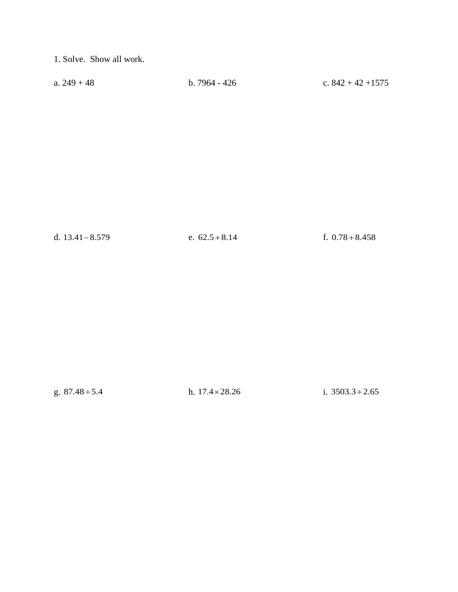1. Solve. Show all work.

| a. $249 + 48$ | b. $7964 - 426$ | c. $842 + 42 + 1575$ |
|---------------|-----------------|----------------------|
|               |                 |                      |

d.  $13.41 - 8.579$  e.  $62.5 + 8.14$ 

f.  $0.78 + 8.458$ 

g.  $87.48 \div 5.4$ 

h.  $17.4 \times 28.26$  i.  $3503.3 \div 2.65$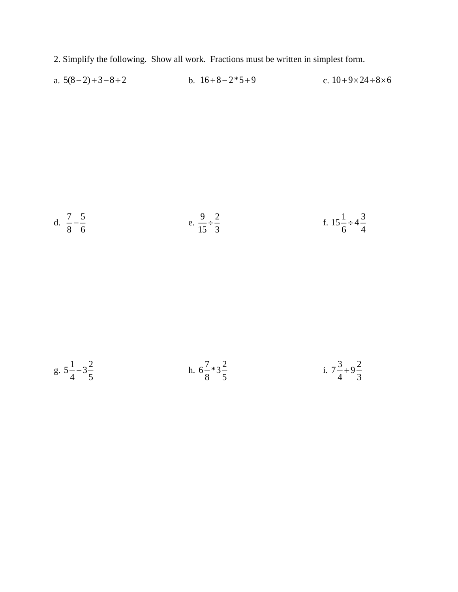- 2. Simplify the following. Show all work. Fractions must be written in simplest form.
- a.  $5(8-2)+3-8 \div 2$  b.  $16+8-2*5+9$ c.  $10 + 9 \times 24 \div 8 \times 6$

d. 
$$
\frac{7}{8} - \frac{5}{6}
$$
  
e.  $\frac{9}{15} \div \frac{2}{3}$   
f.  $15\frac{1}{6} \div 4\frac{3}{4}$   
g.  $5\frac{1}{4} - 3\frac{2}{5}$   
h.  $6\frac{7}{8} \times 3\frac{2}{5}$   
i.  $7\frac{3}{4} + 9\frac{2}{3}$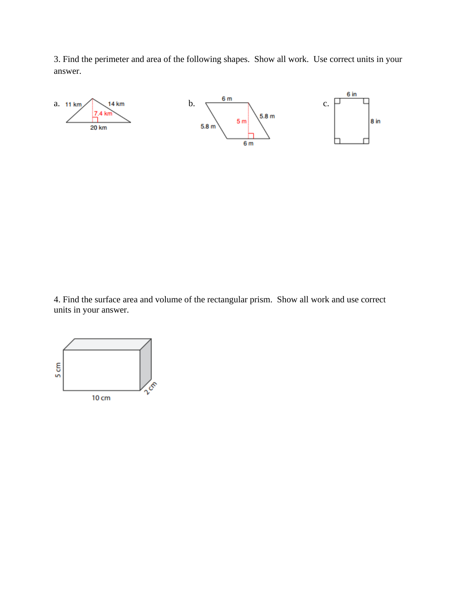3. Find the perimeter and area of the following shapes. Show all work. Use correct units in your answer.



4. Find the surface area and volume of the rectangular prism. Show all work and use correct units in your answer.

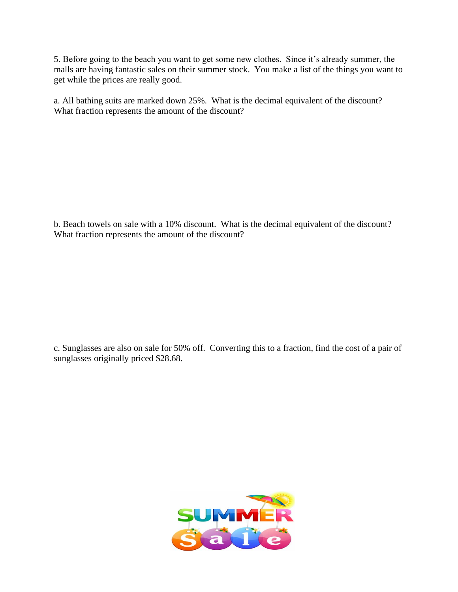5. Before going to the beach you want to get some new clothes. Since it's already summer, the malls are having fantastic sales on their summer stock. You make a list of the things you want to get while the prices are really good.

a. All bathing suits are marked down 25%. What is the decimal equivalent of the discount? What fraction represents the amount of the discount?

b. Beach towels on sale with a 10% discount. What is the decimal equivalent of the discount? What fraction represents the amount of the discount?

c. Sunglasses are also on sale for 50% off. Converting this to a fraction, find the cost of a pair of sunglasses originally priced \$28.68.

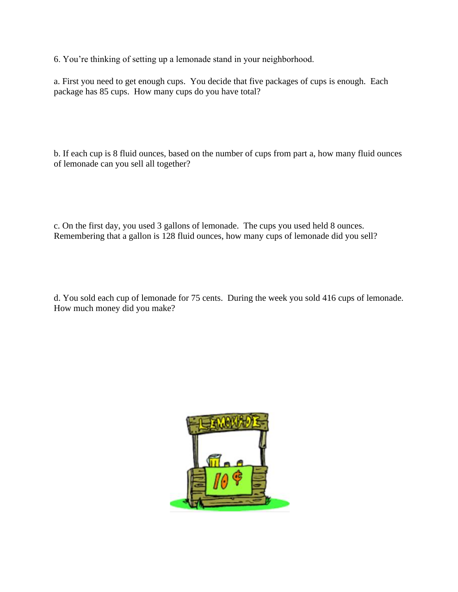6. You're thinking of setting up a lemonade stand in your neighborhood.

a. First you need to get enough cups. You decide that five packages of cups is enough. Each package has 85 cups. How many cups do you have total?

b. If each cup is 8 fluid ounces, based on the number of cups from part a, how many fluid ounces of lemonade can you sell all together?

c. On the first day, you used 3 gallons of lemonade. The cups you used held 8 ounces. Remembering that a gallon is 128 fluid ounces, how many cups of lemonade did you sell?

d. You sold each cup of lemonade for 75 cents. During the week you sold 416 cups of lemonade. How much money did you make?

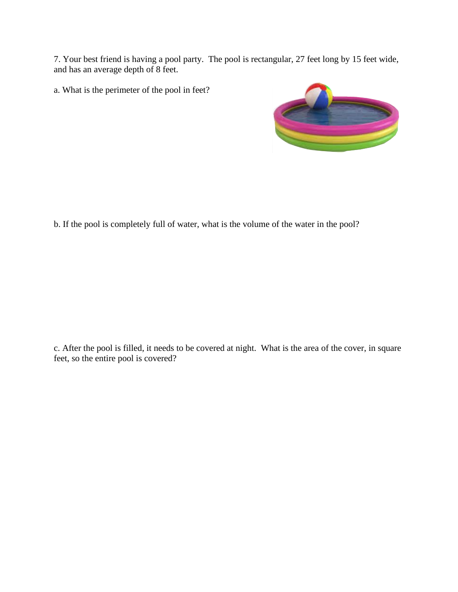7. Your best friend is having a pool party. The pool is rectangular, 27 feet long by 15 feet wide, and has an average depth of 8 feet.

a. What is the perimeter of the pool in feet?



b. If the pool is completely full of water, what is the volume of the water in the pool?

c. After the pool is filled, it needs to be covered at night. What is the area of the cover, in square feet, so the entire pool is covered?